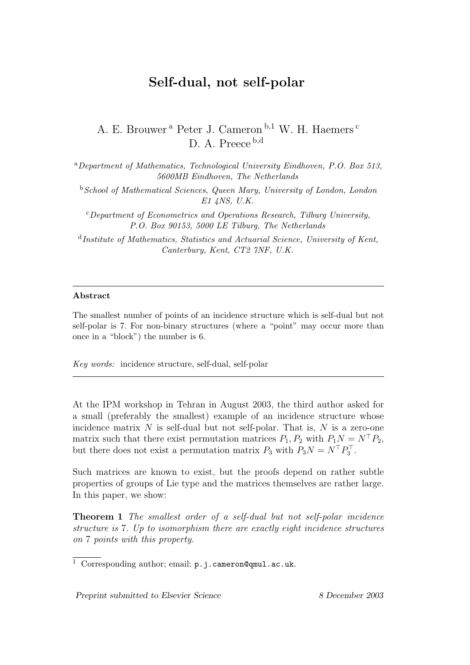## Self-dual, not self-polar

## A. E. Brouwer<sup>a</sup> Peter J. Cameron<sup>b,1</sup> W. H. Haemers<sup>c</sup> D. A. Preece b,d

<sup>a</sup>Department of Mathematics, Technological University Eindhoven, P.O. Box 513, 5600MB Eindhoven, The Netherlands

<sup>b</sup>School of Mathematical Sciences, Queen Mary, University of London, London E1 4NS, U.K.

 $c$ Department of Econometrics and Operations Research, Tilburg University, P.O. Box 90153, 5000 LE Tilburg, The Netherlands

<sup>d</sup>Institute of Mathematics, Statistics and Actuarial Science, University of Kent, Canterbury, Kent, CT2 7NF, U.K.

## Abstract

The smallest number of points of an incidence structure which is self-dual but not self-polar is 7. For non-binary structures (where a "point" may occur more than once in a "block") the number is 6.

Key words: incidence structure, self-dual, self-polar

At the IPM workshop in Tehran in August 2003, the third author asked for a small (preferably the smallest) example of an incidence structure whose incidence matrix  $N$  is self-dual but not self-polar. That is,  $N$  is a zero-one matrix such that there exist permutation matrices  $P_1, P_2$  with  $P_1N = N^{\top}P_2$ , but there does not exist a permutation matrix  $P_3$  with  $P_3N = N^{\top}P_3^{\top}$  $\frac{1}{3}$  .

Such matrices are known to exist, but the proofs depend on rather subtle properties of groups of Lie type and the matrices themselves are rather large. In this paper, we show:

Theorem 1 The smallest order of a self-dual but not self-polar incidence structure is 7. Up to isomorphism there are exactly eight incidence structures on 7 points with this property.

Preprint submitted to Elsevier Science 8 December 2003

<sup>1</sup> Corresponding author; email: p.j.cameron@qmul.ac.uk.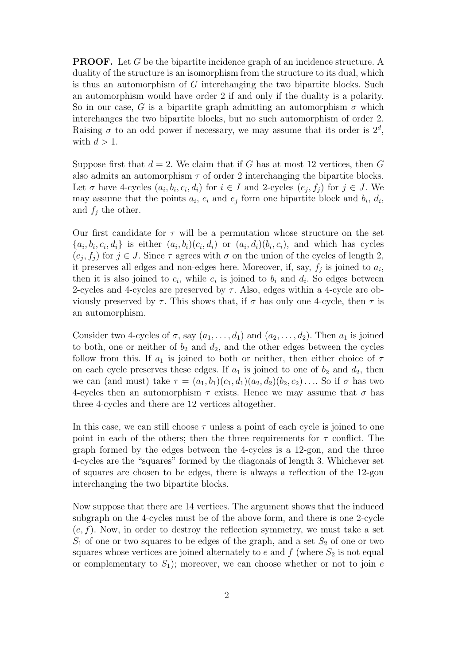**PROOF.** Let G be the bipartite incidence graph of an incidence structure. A duality of the structure is an isomorphism from the structure to its dual, which is thus an automorphism of  $G$  interchanging the two bipartite blocks. Such an automorphism would have order 2 if and only if the duality is a polarity. So in our case, G is a bipartite graph admitting an automorphism  $\sigma$  which interchanges the two bipartite blocks, but no such automorphism of order 2. Raising  $\sigma$  to an odd power if necessary, we may assume that its order is  $2^d$ , with  $d > 1$ .

Suppose first that  $d = 2$ . We claim that if G has at most 12 vertices, then G also admits an automorphism  $\tau$  of order 2 interchanging the bipartite blocks. Let  $\sigma$  have 4-cycles  $(a_i, b_i, c_i, d_i)$  for  $i \in I$  and 2-cycles  $(e_j, f_j)$  for  $j \in J$ . We may assume that the points  $a_i$ ,  $c_i$  and  $e_j$  form one bipartite block and  $b_i$ ,  $d_i$ , and  $f_j$  the other.

Our first candidate for  $\tau$  will be a permutation whose structure on the set  $\{a_i, b_i, c_i, d_i\}$  is either  $(a_i, b_i)(c_i, d_i)$  or  $(a_i, d_i)(b_i, c_i)$ , and which has cycles  $(e_j, f_j)$  for  $j \in J$ . Since  $\tau$  agrees with  $\sigma$  on the union of the cycles of length 2, it preserves all edges and non-edges here. Moreover, if, say,  $f_j$  is joined to  $a_i$ , then it is also joined to  $c_i$ , while  $e_i$  is joined to  $b_i$  and  $d_i$ . So edges between 2-cycles and 4-cycles are preserved by  $\tau$ . Also, edges within a 4-cycle are obviously preserved by  $\tau$ . This shows that, if  $\sigma$  has only one 4-cycle, then  $\tau$  is an automorphism.

Consider two 4-cycles of  $\sigma$ , say  $(a_1, \ldots, d_1)$  and  $(a_2, \ldots, d_2)$ . Then  $a_1$  is joined to both, one or neither of  $b_2$  and  $d_2$ , and the other edges between the cycles follow from this. If  $a_1$  is joined to both or neither, then either choice of  $\tau$ on each cycle preserves these edges. If  $a_1$  is joined to one of  $b_2$  and  $d_2$ , then we can (and must) take  $\tau = (a_1, b_1)(c_1, d_1)(a_2, d_2)(b_2, c_2) \dots$  So if  $\sigma$  has two 4-cycles then an automorphism  $\tau$  exists. Hence we may assume that  $\sigma$  has three 4-cycles and there are 12 vertices altogether.

In this case, we can still choose  $\tau$  unless a point of each cycle is joined to one point in each of the others; then the three requirements for  $\tau$  conflict. The graph formed by the edges between the 4-cycles is a 12-gon, and the three 4-cycles are the "squares" formed by the diagonals of length 3. Whichever set of squares are chosen to be edges, there is always a reflection of the 12-gon interchanging the two bipartite blocks.

Now suppose that there are 14 vertices. The argument shows that the induced subgraph on the 4-cycles must be of the above form, and there is one 2-cycle  $(e, f)$ . Now, in order to destroy the reflection symmetry, we must take a set  $S_1$  of one or two squares to be edges of the graph, and a set  $S_2$  of one or two squares whose vertices are joined alternately to  $e$  and  $f$  (where  $S_2$  is not equal or complementary to  $S_1$ ); moreover, we can choose whether or not to join e